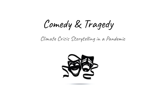Comedy & Tragedy

#### Climate Crisis Storytelling in a Pandemic

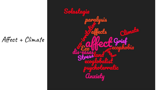#### Affect + Climate

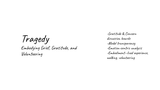Tragedy

Embodying Grief, Gratitude, and Volunteering

-Gratitude & Concern discussion boards -Model transparency -Emotion-centric analysis -Embodiment--lived experience, walking, volunteering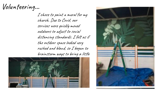### Volunteering...

I chose to paint a mural for my church. Due to Covid, our services were quickly moved outdoors to adjust to social distancing standards. I felt as if the outdoor space looked very rushed and bland, so I began to brainstorm ways to bring a little



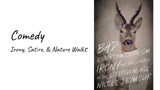Comedy

#### Irony, Satire, & Nature Walks

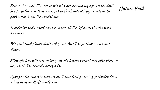Believe it or not, Chinese people who are around my age usually don't like to go for a walk at parks, they think only old guys would go to parks. But I am the special one.

Nature Walk

I, unfortunately, could not see stars, all the lights in the sky were airplanes.

It's good that plants don't get Covid. And I hope that crow won't either.

Although I usually love walking outside I have several mosquito bites on me, which I'm severely allergic to.

Apologies for the late submission, I had food poisoning yesterday from a bad decision McDonald's run.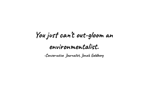## **You just can't out-gloom an environmentalist.**

**-Conservative Journalist, Jonah Goldberg**